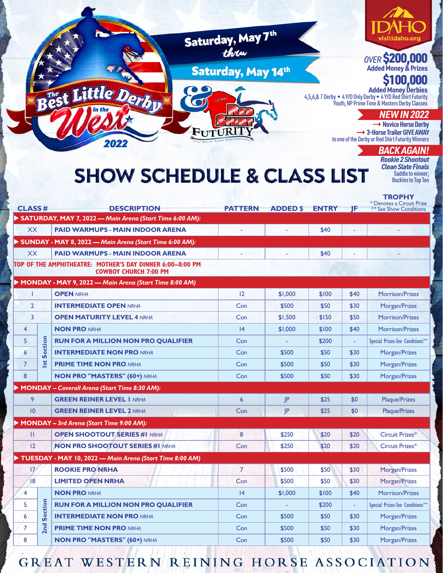

|    | 12              |                 | <b>NON PRO SHOOTOUT SERIES #1 NRHA</b>                   | Con | \$250   | \$20  | \$20                     | Circuit Prizes*                 |
|----|-----------------|-----------------|----------------------------------------------------------|-----|---------|-------|--------------------------|---------------------------------|
|    |                 |                 | TUESDAY - MAY 10, 2022 — Main Arena (Start Time 8:00 AM) |     |         |       |                          |                                 |
|    | 17 <sup>2</sup> |                 | <b>ROOKIE PRO NRHA</b>                                   |     | \$500   | \$50  | \$30                     | Morgan/Prizes                   |
| 18 |                 |                 | <b>LIMITED OPEN NRHA</b>                                 | Con | \$500   | \$50  | \$30                     | Morgan/Prizes                   |
|    | 4               |                 | <b>NON PRO NRHA</b>                                      | 4   | \$1,000 | \$100 | \$40                     | Morrison/Prizes                 |
|    | 5               | 으.<br>တိ<br>2nd | <b>RUN FOR A MILLION NON PRO QUALIFIER</b>               | Con | -       | \$200 | $\overline{\phantom{a}}$ | Special Prizes-See Conditions** |
|    | 6               |                 | <b>INTERMEDIATE NON PRO NRHA</b>                         | Con | \$500   | \$50  | \$30                     | Morgan/Prizes                   |
|    | $\overline{7}$  |                 | <b>PRIME TIME NON PRO NRHA</b>                           | Con | \$500   | \$50  | \$30                     | Morgan/Prizes                   |
|    | 8               |                 | <b>NON PRO "MASTERS" (60+) NRHA</b>                      | Con | \$500   | \$50  | \$30                     | Morgan/Prizes                   |

## **GREAT WESTERN REINING HORSE ASSOCIATION**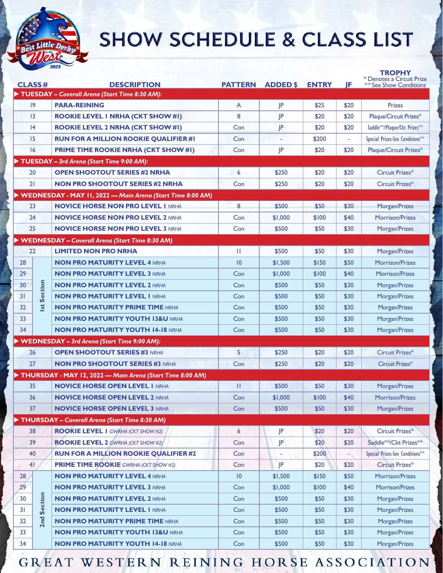

## **SHOW SCHEDULE & CLASS LIST**

| <b>CLASS#</b>   |                         | <b>DESCRIPTION</b>                                         |     | <b>PATTERN ADDED \$</b> | <b>ENTRY</b> | JF   | <u>I KOPH</u> Y<br>* Denotes a Circuit Prize<br><b>** See Show Conditions</b> |
|-----------------|-------------------------|------------------------------------------------------------|-----|-------------------------|--------------|------|-------------------------------------------------------------------------------|
|                 |                         | TUESDAY - Coverall Arena (Start Time 8:30 AM):             |     |                         |              |      |                                                                               |
| 9               |                         | <b>PARA-REINING</b>                                        | A   | JP                      | \$25         | \$20 | <b>Prizes</b>                                                                 |
| 3               |                         | <b>ROOKIE LEVEL I NRHA (CKT SHOW #I)</b>                   | 8   | JP                      | \$20         | \$20 | Plaque/Circuit Prizes*                                                        |
| 4               |                         | <b>ROOKIE LEVEL 2 NRHA (CKT SHOW #1)</b>                   | Con | JP                      | \$20         | \$20 | Saddle**/Plaque/Ckt Prizes**                                                  |
| 15              |                         | <b>RUN FOR A MILLION ROOKIE QUALIFIER #1</b>               | Con |                         | \$200        |      | Special Prizes-See Conditions**                                               |
| 16              |                         | <b>PRIME TIME ROOKIE NRHA (CKT SHOW #1)</b>                | Con | JP                      | \$20         | \$20 | Plaque/Circuit Prizes*                                                        |
|                 |                         | TUESDAY - 3rd Arena (Start Time 9:00 AM):                  |     |                         |              |      |                                                                               |
| 20              |                         | <b>OPEN SHOOTOUT SERIES #2 NRHA</b>                        | 6   | \$250                   | \$20         | \$20 | Circuit Prizes*                                                               |
| 21              |                         | <b>NON PRO SHOOTOUT SERIES #2 NRHA</b>                     | Con | \$250                   | \$20         | \$20 | Circuit Prizes*                                                               |
|                 |                         | WEDNESDAY - MAY 11, 2022 - Main Arena (Start Time 8:00 AM) |     |                         |              |      |                                                                               |
| 23              |                         | <b>NOVICE HORSE NON PRO LEVEL I NRHA</b>                   | 8   | \$500                   | \$50         | \$30 | Morgan/Prizes                                                                 |
| 24              |                         | <b>NOVICE HORSE NON PRO LEVEL 2 NRHA</b>                   | Con | \$1,000                 | \$100        | \$40 | <b>Morrison/Prizes</b>                                                        |
| 25              |                         | <b>NOVICE HORSE NON PRO LEVEL 3 NRHA</b>                   | Con | \$500                   | \$50         | \$30 | Morgan/Prizes                                                                 |
|                 |                         | <b>WEDNESDAY - Coverall Arena (Start Time 8:30 AM)</b>     |     |                         |              |      |                                                                               |
| 22              |                         | <b>LIMITED NON PRO NRHA</b>                                | Ш   | \$500                   | \$50         | \$30 | Morgan/Prizes                                                                 |
| 28              |                         | <b>NON PRO MATURITY LEVEL 4 NRHA</b>                       | 10  | \$1,500                 | \$150        | \$50 | <b>Morrison/Prizes</b>                                                        |
| 29              |                         | <b>NON PRO MATURITY LEVEL 3 NRHA</b>                       | Con | \$1,000                 | \$100        | \$40 | Morrison/Prizes                                                               |
| 30              |                         | <b>NON PRO MATURITY LEVEL 2 NRHA</b>                       | Con | \$500                   | \$50         | \$30 | Morgan/Prizes                                                                 |
| 31              | <b>Section</b><br>$s$ t | <b>NON PRO MATURITY LEVEL I NRHA</b>                       | Con | \$500                   | \$50         | \$30 | Morgan/Prizes                                                                 |
| 32              |                         | <b>NON PRO MATURITY PRIME TIME NRHA</b>                    | Con | \$500                   | \$50         | \$30 | Morgan/Prizes                                                                 |
| 33              |                         | <b>NON PRO MATURITY YOUTH 13&amp;U NRHA</b>                | Con | \$500                   | \$50         | \$30 | Morgan/Prizes                                                                 |
| 34              |                         | <b>NON PRO MATURITY YOUTH 14-18 NRHA</b>                   | Con | \$500                   | \$50         | \$30 | Morgan/Prizes                                                                 |
|                 |                         | <b>WEDNESDAY - 3rd Arena (Start Time 9:00 AM):</b>         |     |                         |              |      |                                                                               |
| 26              |                         | <b>OPEN SHOOTOUT SERIES #3 NRHA</b>                        | 5   | \$250                   | \$20         | \$20 | Circuit Prizes*                                                               |
| 27              |                         | <b>NON PRO SHOOTOUT SERIES #3 NRHA</b>                     | Con | \$250                   | \$20         | \$20 | Circuit Prizes*                                                               |
|                 |                         | THURSDAY - MAY 12, 2022 - Main Arena (Start Time 8:00 AM)  |     |                         |              |      |                                                                               |
| 35              |                         | <b>NOVICE HORSE OPEN LEVEL I NRHA</b>                      | Ш   | \$500                   | \$50         | \$30 | Morgan/Prizes                                                                 |
| 36              |                         | <b>NOVICE HORSE OPEN LEVEL 2 NRHA</b>                      | Con | \$1,000                 | \$100        | \$40 | Morrison/Prizes                                                               |
| 37              |                         | <b>NOVICE HORSE OPEN LEVEL 3 NRHA</b>                      | Con | \$500                   | \$50         | \$30 | Morgan/Prizes                                                                 |
|                 |                         | THURSDAY - Coverall Arena (Start Time 8:30 AM)             |     |                         |              |      |                                                                               |
| 38              |                         | <b>ROOKIE LEVEL 1 GWRHA (CKT SHOW #2)</b>                  | 6   | JP.                     | \$20         | \$20 | Circuit Prizes*                                                               |
| 39              |                         | <b>ROOKIE LEVEL 2</b> GWRHA (CKT SHOW #2)                  | Con | JP                      | \$20         | \$20 | Saddle**/Ckt Prizes**                                                         |
| 40              |                         | <b>RUN FOR A MILLION ROOKIE QUALIFIER #2</b>               | Con |                         | \$200        | ۰    | Special Prizes-See Conditions**                                               |
| 41              |                         | <b>PRIME TIME ROOKIE</b> GWRHA (CKT SHOW #2)               | Con | JP                      | \$20         | \$20 | Circuit Prizes*                                                               |
| 28              |                         | <b>NON PRO MATURITY LEVEL 4 NRHA</b>                       | 10  | \$1,500                 | \$150        | \$50 | Morrison/Prizes                                                               |
| 29 <sup>°</sup> | Section                 | <b>NON PRO MATURITY LEVEL 3 NRHA</b>                       | Con | \$1,000                 | \$100        | \$40 | Morrison/Prizes                                                               |
| 30              |                         | <b>NON PRO MATURITY LEVEL 2 NRHA</b>                       | Con | \$500                   | \$50         | \$30 | Morgan/Prizes                                                                 |
| 31              |                         | <b>NON PRO MATURITY LEVEL I NRHA</b>                       | Con | \$500                   | \$50         | \$30 | Morgan/Prizes                                                                 |
| 32              | 2nd                     | <b>NON PRO MATURITY PRIME TIME NRHA</b>                    | Con | \$500                   | \$50         | \$30 | Morgan/Prizes                                                                 |
| 33              |                         | <b>NON PRO MATURITY YOUTH 13&amp;U NRHA</b>                | Con | \$500                   | \$50         | \$30 | Morgan/Prizes                                                                 |
| 34              |                         | <b>NON PRO MATURITY YOUTH 14-18 NRHA</b>                   | Con | \$500                   | \$50         | \$30 | Morgan/Prizes                                                                 |
|                 |                         |                                                            |     |                         |              |      |                                                                               |

GREAT WESTERN REINING HORSE ASSOCIATION